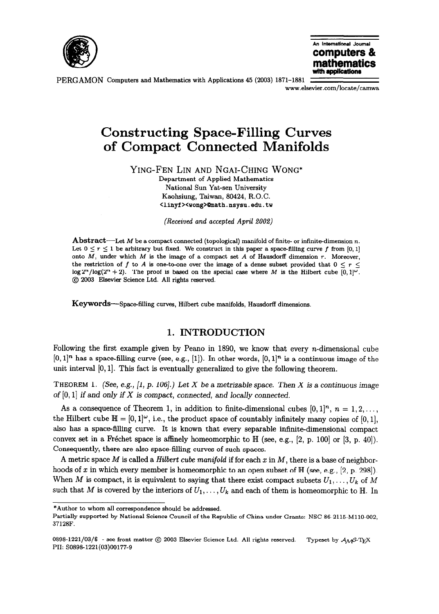



PERGAMON Computers and Mathematics with Applications 45 (2003) 1871-1881 www.elsevier.com/locate/camwa

# Constructing Space-Filling Curves of Compact Connected Manifolds

YING-FEN LIN AND NGAI-CHING WONG\*

Department of Applied Mathematics National Sun Yat-sen University Kaohsiung, Taiwan, 80424, R.O.C. <linyf><wong>@math.nsysu.edu.tw

(Received and accepted April 2002)

**Abstract**—Let M be a compact connected (topological) manifold of finite- or infinite-dimension n. Let  $0 \le r \le 1$  be arbitrary but fixed. We construct in this paper a space-filling curve f from [0, 1] onto  $M$ , under which  $M$  is the image of a compact set  $A$  of Hausdorff dimension  $r$ . Moreover, the restriction of f to A is one-to-one over the image of a dense subset provided that  $0 \le r \le$  $\log 2^{n}/\log(2^{n}+2)$ . The proof is based on the special case where M is the Hilbert cube  $[0,1]^\omega$ . @ 2003 Elsevier Science Ltd. All rights reserved.

Keywords—Space-filling curves, Hilbert cube manifolds, Hausdorff dimensions.

# 1. INTRODUCTION

Following the first example given by Peano in 1890, we know that every n-dimensional cube  $[0, 1]^n$  has a space-filling curve (see, e.g., [1]). In other words,  $[0, 1]^n$  is a continuous image of the unit interval  $[0, 1]$ . This fact is eventually generalized to give the following theorem.

THEOREM 1. (See, e.g., [1, p. 106].) Let X be a metrizable space. Then X is a continuous image of  $[0, 1]$  if and only if X is compact, connected, and locally connected.

As a consequence of Theorem 1, in addition to finite-dimensional cubes  $[0, 1]^n$ ,  $n = 1, 2, \ldots$ , the Hilbert cube  $\mathbb{H} = [0, 1]^\omega$ , i.e., the product space of countably infinitely many copies of [0, 1], also has a space-filling curve. It is known that every separable infinite-dimensional compact convex set in a Fréchet space is affinely homeomorphic to  $\mathbb{H}$  (see, e.g., [2, p. 100] or [3, p. 40]). Consequently, there are also space-filling curves of such spaces.

A metric space M is called a Hilbert cube manifold if for each  $x$  in  $M$ , there is a base of neighborhoods of x in which every member is homeomorphic to an open subset of  $\mathbb{H}$  (see, e.g., [2, p. 298]). When M is compact, it is equivalent to saying that there exist compact subsets  $U_1, \ldots, U_k$  of M such that M is covered by the interiors of  $U_1, \ldots, U_k$  and each of them is homeomorphic to H. In

<sup>\*</sup>Author to whom all correspondence should be addressed.

Partially supported by National Science Council of the Republic of China under Grants: NSC 86-2115-M110-002, 37128F.

<sup>0898-1221/03/\$ -</sup> see front matter  $\circledcirc$  2003 Elsevier Science Ltd. All rights reserved. Typeset by  $\mathcal{A}_{\mathcal{M}}$ S-TEX PII: SO898-1221(03)00177-9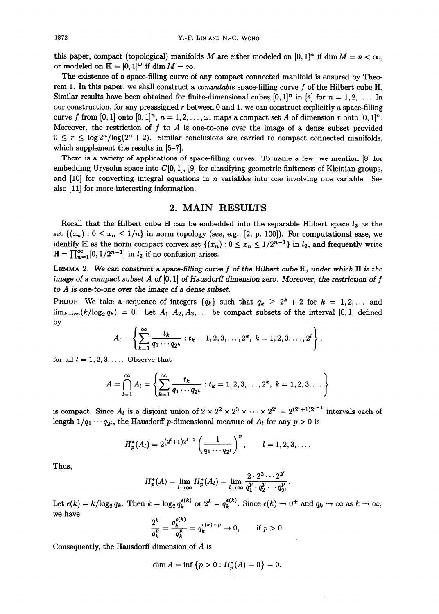this paper, compact (topological) manifolds M are either modeled on  $[0, 1]^n$  if dim  $M = n < \infty$ , or modeled on  $\mathbb{H} = [0,1]^\omega$  if dim  $M = \infty$ .

The existence of a space-filling curve of any compact connected manifold is ensured by Theorem 1. In this paper, we shall construct a *computable* space-filling curve  $f$  of the Hilbert cube  $H$ . Similar results have been obtained for finite-dimensional cubes  $[0, 1]^n$  in  $[4]$  for  $n = 1, 2, \ldots$  In our construction, for any preassigned  $r$  between 0 and 1, we can construct explicitly a space-filling curve f from [0, 1] onto [0, 1]<sup>n</sup>,  $n = 1, 2, \ldots, \omega$ , maps a compact set A of dimension r onto [0, 1]<sup>n</sup>. Moreover, the restriction of f to A is one-to-one over the image of a dense subset provided  $0 \le r \le \log 2^n / \log(2^n + 2)$ . Similar conclusions are carried to compact connected manifolds, which supplement the results in  $[5-7]$ .

There is a variety of applications of space-filling curves. To name a few, we mention [8] for embedding Urysohn space into  $C[0, 1]$ ,  $[9]$  for classifying geometric finiteness of Kleinian groups, and  $[10]$  for converting integral equations in *n* variables into one involving one variable. See also [11] for more interesting information.

#### 2. MAIN RESULTS

Recall that the Hilbert cube  $\mathbb H$  can be embedded into the separable Hilbert space  $l_2$  as the set  $\{(x_n): 0 \le x_n \le 1/n\}$  in norm topology (see, e.g., [2, p. 100]). For computational ease, we identify  $\mathbb H$  as the norm compact convex set  $\{(x_n): 0 \le x_n \le 1/2^{n-1}\}$  in  $l_2$ , and frequently write  $\mathbb{H} = \prod_{n=1}^{\infty} [0, 1/2^{n-1}]$  in  $l_2$  if no confusion arises.

LEMMA 2. We can construct a space-filling curve  $f$  of the Hilbert cube  $\mathbb H$ , under which  $\mathbb H$  is the image of a compact subset A of  $[0, 1]$  of Hausdorff dimension zero. Moreover, the restriction of f to  $A$  is one-to-one over the image of a dense subset.

PROOF. We take a sequence of integers  $\{q_k\}$  such that  $q_k \geq 2^k + 2$  for  $k = 1, 2, \ldots$  and  $\lim_{k\to\infty}$   $(k/\log_2 q_k) = 0$ . Let  $A_1, A_2, A_3, \ldots$  be compact subsets of the interval [0, 1] defined by

$$
A_l = \left\{\sum_{k=1}^{\infty} \frac{t_k}{q_1 \cdots q_{2^k}} : t_k = 1, 2, 3, \ldots, 2^k, \ k = 1, 2, 3, \ldots, 2^l\right\},\,
$$

for all  $l = 1, 2, 3, \ldots$  Observe that

$$
A = \bigcap_{l=1}^{\infty} A_l = \left\{ \sum_{k=1}^{\infty} \frac{t_k}{q_1 \cdots q_{2^k}} : t_k = 1, 2, 3, \ldots, 2^k, k = 1, 2, 3, \ldots \right\}
$$

is compact. Since  $A_l$  is a disjoint union of  $2 \times 2^2 \times 2^3 \times \cdots \times 2^{2^l} = 2^{(2^l+1)2^{l-1}}$  intervals each of length  $1/q_1 \cdots q_{2^l}$ , the Hausdorff p-dimensional measure of  $A_l$  for any  $p > 0$  is

$$
H_p^*(A_l)=2^{(2^l+1)2^{l-1}}\left(\frac{1}{q_1\cdots q_{2^l}}\right)^p, \qquad l=1,2,3,\ldots.
$$

Thus,

$$
H_p^*(A) = \lim_{l \to \infty} H_p^*(A_l) = \lim_{l \to \infty} \frac{2 \cdot 2^2 \cdots 2^{2^l}}{q_1^p \cdot q_2^p \cdots q_{2^l}^p}.
$$

Let  $\epsilon(k) = k/\log_2 q_k$ . Then  $k = \log_2 q_k^{\epsilon(k)}$  or  $2^k = q_k^{\epsilon(k)}$ . Since  $\epsilon(k) \to 0^+$  and  $q_k \to \infty$  as  $k \to \infty$ , we have  $\overline{a}$ 

$$
\frac{2^k}{q_k^p} = \frac{q_k^{\epsilon(k)}}{q_k^p} = q_k^{\epsilon(k)-p} \to 0, \quad \text{if } p > 0.
$$

Consequently, the Hausdorff dimension of A is

$$
\dim A = \inf \{ p > 0 : H_p^*(A) = 0 \} = 0.
$$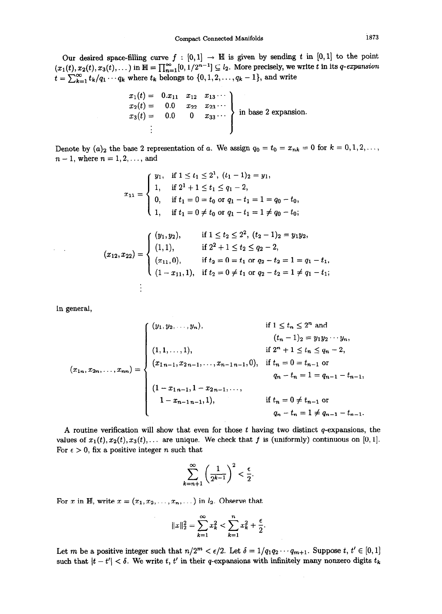Our desired space-filling curve  $f : [0,1] \rightarrow \mathbb{H}$  is given by sending t in [0,1] to the point  $(x_1(t),x_2(t),x_3(t),\dots)$  in  $\mathbb{H}=\prod_{n=1}^{\infty}[0,1/2^{n-1}]\subseteq l_2$ . More precisely, we write t in its q-expansion  $t = \sum_{k=1}^{\infty} t_k/q_1 \cdots q_k$  where  $t_k$  belongs to  $\{0, 1, 2, \ldots, q_k - 1\}$ , and writ

$$
\left.\begin{array}{lll}\nx_1(t) = & 0.x_{11} & x_{12} & x_{13} \cdots \\
x_2(t) = & 0.0 & x_{22} & x_{23} \cdots \\
x_3(t) = & 0.0 & 0 & x_{33} \cdots \\
\vdots & & & & \n\end{array}\right\} \text{ in base 2 expansion.}
$$

Denote by  $(a)_2$  the base 2 representation of a. We assign  $q_0 = t_0 = x_{nk} = 0$  for  $k = 0, 1, 2, \ldots$ ,  $n - 1$ , where  $n = 1, 2, ...,$  and

$$
x_{11} = \begin{cases} y_1, & \text{if } 1 \le t_1 \le 2^1, \ (t_1 - 1)_2 = y_1, \\ 1, & \text{if } 2^1 + 1 \le t_1 \le q_1 - 2, \\ 0, & \text{if } t_1 = 0 = t_0 \text{ or } q_1 - t_1 = 1 = q_0 - t_0, \\ 1, & \text{if } t_1 = 0 \ne t_0 \text{ or } q_1 - t_1 = 1 \ne q_0 - t_0; \end{cases}
$$

$$
(1, \quad \text{if } t_1 = 0 \neq t_0 \text{ or } q_1 - t_1 = 1 \neq q_0 - t_0;
$$
\n
$$
(x_{12}, x_{22}) = \begin{cases} (y_1, y_2), & \text{if } 1 \leq t_2 \leq 2^2, \ (t_2 - 1)_2 = y_1 y_2, \\ (1, 1), & \text{if } 2^2 + 1 \leq t_2 \leq q_2 - 2, \\ (x_{11}, 0), & \text{if } t_2 = 0 = t_1 \text{ or } q_2 - t_2 = 1 = q_1 - t_1, \\ (1 - x_{11}, 1), & \text{if } t_2 = 0 \neq t_1 \text{ or } q_2 - t_2 = 1 \neq q_1 - t_1; \end{cases}
$$

In general,

$$
(x_{1n}, x_{2n}, \ldots, x_{nn}) = \begin{cases} (y_1, y_2, \ldots, y_n), & \text{if } 1 \le t_n \le 2^n \text{ and} \\ & (t_n - 1)_2 = y_1 y_2 \cdots y_n, \\ & \text{if } 2^n + 1 \le t_n \le q_n - 2, \\ (x_{1n}, x_{2n}, \ldots, x_{nn}) = \begin{cases} (x_{1n-1}, x_{2n-1}, \ldots, x_{n-1n-1}, 0), & \text{if } t_n = 0 = t_{n-1} \text{ or} \\ & (1 - x_{1n-1}, 1 - x_{2n-1}, \ldots, \\ & (1 - x_{n-1n-1}, 1), & \text{if } t_n = 0 \ne t_{n-1} \text{ or} \\ & q_n - t_n = 1 \ne q_{n-1} - t_{n-1}. \end{cases}
$$

A routine verification will show that even for those  $t$  having two distinct  $q$ -expansions, the values of  $x_1(t), x_2(t), x_3(t), \ldots$  are unique. We check that f is (uniformly) continuous on [0, 1]. For  $\epsilon > 0$ , fix a positive integer *n* such that

$$
\sum_{k=n+1}^{\infty} \left(\frac{1}{2^{k-1}}\right)^2 < \frac{\epsilon}{2}.
$$

For x in H, write  $x=(x_1,x_2, \ldots, x_n, \ldots)$  in  $l_2$ . Observe that

$$
||x||_2^2 = \sum_{k=1}^{\infty} x_k^2 < \sum_{k=1}^n x_k^2 + \frac{\epsilon}{2}.
$$

Let m be a positive integer such that  $n/2^m < \epsilon/2$ . Let  $\delta = 1/q_1q_2\cdots q_{m+1}$ . Suppose  $t, t' \in [0, 1]$ such that  $|t - t'| < \delta$ . We write t, t' in their q-expansions with infinitely many nonzero digits  $t_k$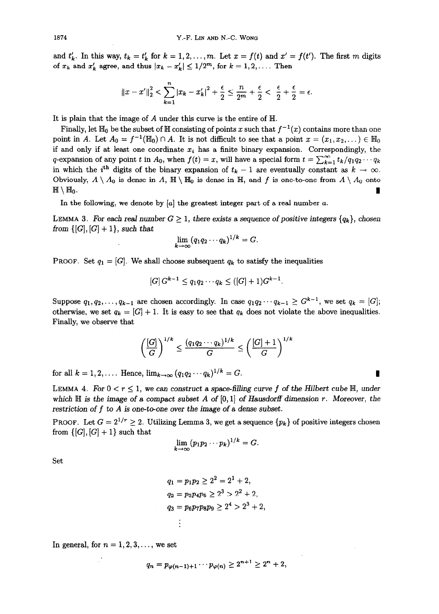and  $t'_k$ . In this way,  $t_k=t'_k$  for  $k=1,2,\ldots, m$ . Let  $x = f(t)$  and  $x' = f(t')$ . The first m digits of  $x_k$  and  $x'_k$  agree, and thus  $|x_k - x'_k| \leq 1/2^m$ , for  $k = 1, 2, \ldots$ . Then

$$
||x - x'||_2^2 < \sum_{k=1}^n |x_k - x'_k|^2 + \frac{\epsilon}{2} \le \frac{n}{2^m} + \frac{\epsilon}{2} < \frac{\epsilon}{2} + \frac{\epsilon}{2} = \epsilon.
$$

It is plain that the image of A under this curve is the entire of  $H$ .

Finally, let  $\mathbb{H}_0$  be the subset of  $\mathbb H$  consisting of points x such that  $f^{-1}(x)$  contains more than one point in A. Let  $A_0 = f^{-1}(\mathbb{H}_0) \cap A$ . It is not difficult to see that a point  $x = (x_1, x_2, ...) \in \mathbb{H}_0$ if and only if at least one coordinate  $x_i$  has a finite binary expansion. Correspondingly, the q-expansion of any point t in  $A_0$ , when  $f(t) = x$ , will have a special form  $t = \sum_{k=1}^{\infty} t_k/q_1q_2 \cdots q_k$ in which the i<sup>th</sup> digits of the binary expansion of  $t_k - 1$  are eventually constant as  $k \to \infty$ . Obviously,  $A \setminus A_0$  is dense in  $A$ ,  $\mathbb{H} \setminus \mathbb{H}_0$  is dense in  $\mathbb{H}$ , and f is one-to-one from  $A \setminus A_0$  onto  $\mathbb{H} \setminus \mathbb{H}_0$ .

In the following, we denote by  $[a]$  the greatest integer part of a real number  $a$ .

LEMMA 3. For each real number  $G \geq 1$ , there exists a sequence of positive integers  $\{q_k\}$ , chosen from  $\{[G], [G] + 1\}$ , such that

$$
\lim_{k\to\infty}(q_1q_2\cdots q_k)^{1/k}=G.
$$

PROOF. Set  $q_1 = [G]$ . We shall choose subsequent  $q_k$  to satisfy the inequalities

$$
[G] G^{k-1} \le q_1 q_2 \cdots q_k \le ([G]+1)G^{k-1}.
$$

Suppose  $q_1, q_2, \ldots, q_{k-1}$  are chosen accordingly. In case  $q_1q_2\cdots q_{k-1} \geq G^{k-1}$ , we set  $q_k = [G]$ ; otherwise, we set  $q_k = [G] + 1$ . It is easy to see that  $q_k$  does not violate the above inequalities. Finally, we observe that

$$
\left(\frac{[G]}{G}\right)^{1/k} \le \frac{(q_1q_2\cdots q_k)^{1/k}}{G} \le \left(\frac{[G]+1}{G}\right)^{1/k}
$$

for all  $k = 1, 2, \ldots$  Hence,  $\lim_{k \to \infty} (q_1 q_2 \cdots q_k)^{1/k} = G$ .

LEMMA 4. For  $0 < r \leq 1$ , we can construct a space-filling curve f of the Hilbert cube  $\mathbb{H}$ , under which  $\mathbb H$  is the image of a compact subset A of  $[0,1]$  of Hausdorff dimension r. Moreover, the restriction of  $f$  to  $A$  is one-to-one over the image of a dense subset.

PROOF. Let  $G = 2^{1/r} \geq 2$ . Utilizing Lemma 3, we get a sequence  $\{p_k\}$  of positive integers chosen from  $\{[G], [G] + 1\}$  such that

$$
\lim_{k\to\infty}(p_1p_2\cdots p_k)^{1/k}=G.
$$

Set

 $q_1 = p_1p_2 \geq 2^2 = 2^1 + 2$ ,  $q_2 = p_3 p_4 p_5 \geq 2^3 > 2^2 + 2$ ,  $q_3 = p_6 p_7 p_8 p_9 \geq 2^4 > 2^3 + 2$  $\vdots$ 

In general, for  $n = 1, 2, 3, \ldots$ , we set

$$
q_n = p_{\varphi(n-1)+1} \cdots p_{\varphi(n)} \ge 2^{n+1} \ge 2^n + 2,
$$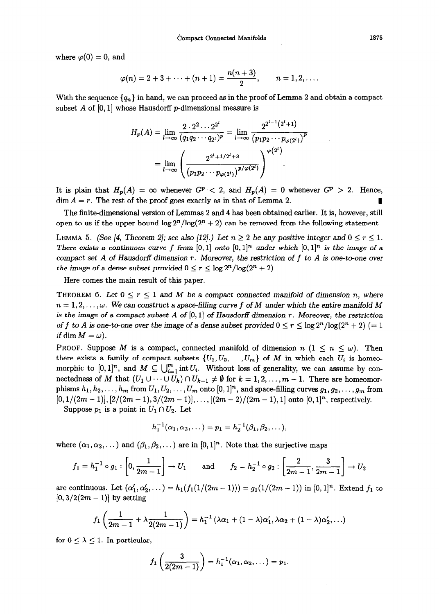where  $\varphi(0) = 0$ , and

$$
\varphi(n) = 2 + 3 + \cdots + (n + 1) = \frac{n(n + 3)}{2}, \qquad n = 1, 2, \ldots
$$

With the sequence  $\{q_n\}$  in hand, we can proceed as in the proof of Lemma 2 and obtain a compact subset A of  $[0, 1]$  whose Hausdorff p-dimensional measure is

$$
H_p(A) = \lim_{l \to \infty} \frac{2 \cdot 2^2 \cdots 2^{2^l}}{(q_1 q_2 \cdots q_{2^l})^p} = \lim_{l \to \infty} \frac{2^{2^{l-1}(2^l+1)}}{(p_1 p_2 \cdots p_{\varphi(2^l)})^p}
$$

$$
= \lim_{l \to \infty} \left( \frac{2^{2^l+1/2^l+3}}{(p_1 p_2 \cdots p_{\varphi(2^l)})^{p/\varphi(2^l)}} \right)^{\varphi(2^l)}
$$

It is plain that  $H_p(A) = \infty$  whenever  $G^p < 2$ , and  $H_p(A) = 0$  whenever  $G^p > 2$ . Hence,  $\dim A = r$ . The rest of the proof goes exactly as in that of Lemma 2.

The finite-dimensional version of Lemmas 2 and 4 has been obtained earlier. It is, however, still open to us if the upper bound  $\log 2^n / \log(2^n + 2)$  can be removed from the following statement.

LEMMA 5. (See [4, Theorem 2]; see also [12].) Let  $n \geq 2$  be any positive integer and  $0 \leq r \leq 1$ . There exists a continuous curve f from  $[0, 1]$  onto  $[0, 1]^n$  under which  $[0, 1]^n$  is the image of a compact set A of Hausdorff dimension  $r$ . Moreover, the restriction of  $f$  to A is one-to-one over the image of a dense subset provided  $0 \le r \le \log 2^n / \log(2^n + 2)$ .

Here comes the main result of this paper.

THEOREM 6. Let  $0 \le r \le 1$  and M be a compact connected manifold of dimension n, where  $n=1,2,\ldots,\omega$ . We can construct a space-filling curve f of M under which the entire manifold M is the image of a compact subset A of  $[0, 1]$  of Hausdorff dimension r. Moreover, the restriction of f to A is one-to-one over the image of a dense subset provided  $0 \le r \le \log 2^n/\log(2^n + 2) (= 1$ if dim  $M = \omega$ ).

PROOF. Suppose M is a compact, connected manifold of dimension  $n (1 \leq n \leq \omega)$ . Then there exists a family of compact subsets  $\{U_1, U_2, \ldots, U_m\}$  of M in which each  $U_i$  is homeomorphic to  $[0,1]^n$ , and  $M \subseteq \bigcup_{i=1}^m \text{int } U_i$ . Without loss of generality, we can assume by connectedness of M that  $(U_1 \cup \cdots \cup U_k) \cap U_{k+1} \neq \emptyset$  for  $k = 1, 2, \ldots, m-1$ . There are homeomorphisms  $h_1, h_2, \ldots, h_m$  from  $U_1, U_2, \ldots, U_m$  onto  $[0, 1]^n$ , and space-filling curves  $g_1, g_2, \ldots, g_m$  from  $[0,1/(2m-1)], [2/(2m-1),3/(2m-1)],\ldots, [2(m-2)/(2m-1),1]$  onto  $[0,1]^n$ , respectively.

Suppose  $p_1$  is a point in  $U_1 \cap U_2$ . Let

$$
h_1^{-1}(\alpha_1, \alpha_2, \dots) = p_1 = h_2^{-1}(\beta_1, \beta_2, \dots)
$$

where 
$$
(\alpha_1, \alpha_2, ...)
$$
 and  $(\beta_1, \beta_2, ...)$  are in  $[0, 1]^n$ . Note that the surjective maps  
\n
$$
f_1 = h_1^{-1} \circ g_1 : \left[0, \frac{1}{2m-1}\right] \to U_1 \quad \text{and} \quad f_2 = h_2^{-1} \circ g_2 : \left[\frac{2}{2m-1}, \frac{3}{2m-1}\right] \to U_2
$$

are continuous. Let  $(\alpha'_1, \alpha'_2, \dots) = h_1(f_1(1/(2m-1))) = g_1(1/(2m-1))$  in  $[0,1]^n$ . Extend  $f_1$  to  $[0,3/2(2m-1)]$  by setting

$$
f_1\left(\frac{1}{2m-1}+\lambda\frac{1}{2(2m-1)}\right)=h_1^{-1}\left(\lambda\alpha_1+(1-\lambda)\alpha_1',\lambda\alpha_2+(1-\lambda)\alpha_2',\ldots\right)
$$

for  $0 \leq \lambda \leq 1$ . In particular,

$$
f_1\left(\frac{3}{2(2m-1)}\right) = h_1^{-1}(\alpha_1, \alpha_2, \dots) = p_1.
$$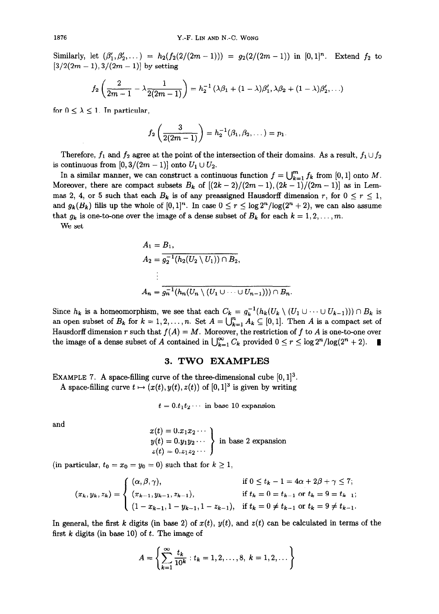Similarly, let  $(\beta'_1,\beta'_2,\dots) = h_2(f_2(2/(2m-1))) = g_2(2/(2m-1))$  in  $[0,1]^n$ . Extend  $f_2$  to  $[3/2(2m-1), 3/(2m-1)]$  by setting

$$
f_2\left(\frac{2}{2m-1}-\lambda\frac{1}{2(2m-1)}\right)=h_2^{-1}(\lambda\beta_1+(1-\lambda)\beta_1',\lambda\beta_2+(1-\lambda)\beta_2',\ldots)
$$

for  $0 \leq \lambda \leq 1$ . In particular,

$$
f_2\left(\frac{3}{2(2m-1)}\right)=h_2^{-1}(\beta_1,\beta_2,\dots)=p_1.
$$

Therefore,  $f_1$  and  $f_2$  agree at the point of the intersection of their domains. As a result,  $f_1 \cup f_2$ is continuous from  $[0,3/(2m-1)]$  onto  $U_1 \cup U_2$ .

In a similar manner, we can construct a continuous function  $f = \bigcup_{k=1}^{m} f_k$  from [0, 1] onto M. Moreover, there are compact subsets  $B_k$  of  $[(2k-2)/(2m-1),(2k-1)/(2m-1)]$  as in Lemmas 2, 4, or 5 such that each  $B_k$  is of any preassigned Hausdorff dimension r, for  $0 \le r \le 1$ , and  $g_k(B_k)$  fills up the whole of  $[0, 1]^n$ . In case  $0 \le r \le \log 2^n / \log(2^n + 2)$ , we can also assume that  $g_k$  is one-to-one over the image of a dense subset of  $B_k$  for each  $k = 1, 2, ..., m$ .

We set

$$
A_1 = B_1,
$$
  
\n
$$
A_2 = \overline{g_2^{-1}(h_2(U_2 \setminus U_1)) \cap B_2},
$$
  
\n
$$
\vdots
$$
  
\n
$$
A_n = \overline{g_n^{-1}(h_n(U_n \setminus (U_1 \cup \dots \cup U_{n-1}))) \cap B_n}
$$

Since  $h_k$  is a homeomorphism, we see that each  $C_k = g_k^{-1}(h_k(U_k \setminus (U_1 \cup \cdots \cup U_{k-1}))) \cap B_k$  is an open subset of  $B_k$  for  $k = 1, 2, ..., n$ . Set  $A = \bigcup_{k=1}^n A_k \subseteq [0, 1]$ . Then A is a compact set of Hausdorff dimension r such that  $f(A) = M$ . Moreover, the restriction of f to A is one-to-one over the image of a dense subset of A contained in  $\bigcup_{k=1}^{\infty} C_k$  provided  $0 \le r \le \log 2^n / \log(2^n + 2)$ .

## 3. TWO EXAMPLES

EXAMPLE 7. A space-filling curve of the three-dimensional cube  $[0, 1]^3$ .

A space-filling curve  $t \mapsto (x(t), y(t), z(t))$  of  $[0, 1]^3$  is given by writing

$$
t = 0.t_1t_2\cdots
$$
 in base 10 expansion

and

$$
x(t) = 0.x_1x_2 \cdots
$$
  
\n
$$
y(t) = 0.y_1y_2 \cdots
$$
  
\n
$$
z(t) = 0.z_1z_2 \cdots
$$
 in base 2 expansion

(in particular,  $t_0 = x_0 = y_0 = 0$ ) such that for  $k \ge 1$ ,

$$
(x_k, y_k, z_k) = \begin{cases} (\alpha, \beta, \gamma), & \text{if } 0 \le t_k - 1 = 4\alpha + 2\beta + \gamma \le 7; \\ (x_{k-1}, y_{k-1}, z_{k-1}), & \text{if } t_k = 0 = t_{k-1} \text{ or } t_k = 9 = t_{k-1}; \\ (1 - x_{k-1}, 1 - y_{k-1}, 1 - z_{k-1}), & \text{if } t_k = 0 \ne t_{k-1} \text{ or } t_k = 9 \ne t_{k-1}. \end{cases}
$$

In general, the first k digits (in base 2) of  $x(t)$ ,  $y(t)$ , and  $z(t)$  can be calculated in terms of the first  $k$  digits (in base 10) of  $t$ . The image of

$$
A = \left\{ \sum_{k=1}^{\infty} \frac{t_k}{10^k} : t_k = 1, 2, \dots, 8, \ k = 1, 2, \dots \right\}
$$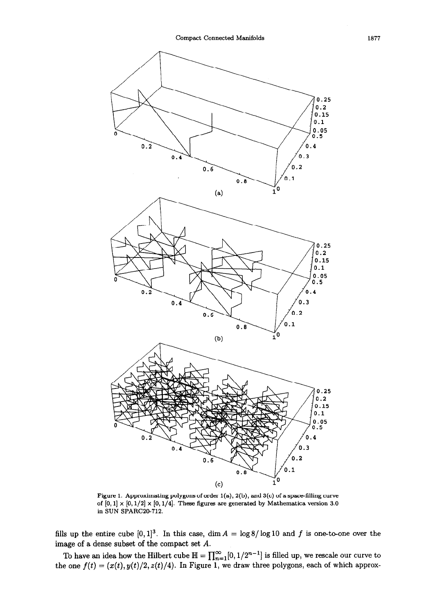

Figure 1. Approximating polygons of order  $1(a)$ ,  $2(b)$ , and  $3(c)$  of a space-filling curve of  $[0, 1] \times [0, 1/2] \times [0, 1/4]$ . These figures are generated by Mathematica version 3.0 in SUN SPARC20-712.

fills up the entire cube  $[0, 1]^3$ . In this case, dim  $A = \log 8 / \log 10$  and f is one-to-one over the image of a dense subset of the compact set A.

To have an idea how the Hilbert cube  $\mathbb{H}=\Pi^{\infty}$  ,  $[0, 1/2^{n-1}]$  is filled up, we rescale our curve to the one  $f(t) = (x(t), y(t)/2, z(t)/4)$ . In Figure 1, we draw three polygons, each of which approx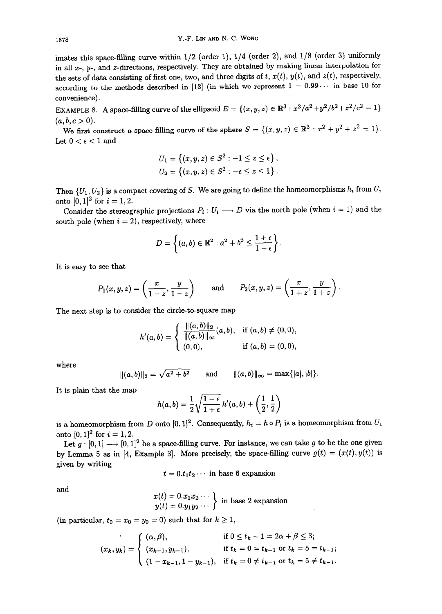imates this space-filling curve within  $1/2$  (order 1),  $1/4$  (order 2), and  $1/8$  (order 3) uniformly in all  $x$ -,  $y$ -, and  $z$ -directions, respectively. They are obtained by making linear interpolation for the sets of data consisting of first one, two, and three digits of t,  $x(t)$ ,  $y(t)$ , and  $z(t)$ , respectively, according to the methods described in [13] (in which we represent  $1 = 0.99...$  in base 10 for convenience).

EXAMPLE 8. A space-filling curve of the ellipsoid  $E = \{(x, y, z) \in \mathbb{R}^3 : x^2/a^2 + y^2/b^2 + z^2/c^2 = 1\}$  $(a, b, c > 0).$ 

We first construct a space-filling curve of the sphere  $S = \{(x, y, z) \in \mathbb{R}^3 : x^2 + y^2 + z^2 = 1\}.$ Let  $0 < \epsilon < 1$  and

$$
U_1 = \left\{ (x, y, z) \in S^2 : -1 \le z \le \epsilon \right\},
$$
  

$$
U_2 = \left\{ (x, y, z) \in S^2 : -\epsilon \le z \le 1 \right\}.
$$

Then  $\{U_1, U_2\}$  is a compact covering of S. We are going to define the homeomorphisms  $h_i$  from  $U_i$ onto  $[0, 1]^2$  for  $i = 1, 2$ .

Consider the stereographic projections  $P_i: U_i \longrightarrow D$  via the north pole (when  $i = 1$ ) and the south pole (when  $i = 2$ ), respectively, where

$$
D=\left\{(a,b)\in\mathbb{R}^2: a^2+b^2\leq \frac{1+\epsilon}{1-\epsilon}\right\}.
$$

It is easy to see that

$$
P_1(x, y, z) = \left(\frac{x}{1-z}, \frac{y}{1-z}\right)
$$
 and  $P_2(x, y, z) = \left(\frac{x}{1+z}, \frac{y}{1+z}\right).$ 

The next step is to consider the circle-to-square map

$$
h'(a,b) = \begin{cases} \frac{\|(a,b)\|_2}{\|(a,b)\|_{\infty}}(a,b), & \text{if } (a,b) \neq (0,0), \\ (0,0), & \text{if } (a,b) = (0,0), \end{cases}
$$

where

$$
||(a, b)||_2 = \sqrt{a^2 + b^2}
$$
 and  $||(a, b)||_{\infty} = max\{|a|, |b|\}.$ 

It is plain that the map

$$
h(a,b)=\frac{1}{2}\sqrt{\frac{1-\epsilon}{1+\epsilon}}\,h'(a,b)+\left(\frac{1}{2},\frac{1}{2}\right)
$$

is a homeomorphism from D onto  $[0, 1]^2$ . Consequently,  $h_i = h \circ P_i$  is a homeomorphism from  $U_i$ onto  $[0, 1]^2$  for  $i = 1, 2$ .

Let  $g : [0, 1] \longrightarrow [0, 1]^2$  be a space-filling curve. For instance, we can take g to be the one given by Lemma 5 as in [4, Example 3]. More precisely, the space-filling curve  $g(t) = (x(t), y(t))$  is given by writing

 $t = 0.t_1t_2 \cdots$  in base 6 expansion

and

$$
x(t) = 0.x_1x_2\cdots \ny(t) = 0.y_1y_2\cdots
$$
 in base 2 expansion

(in particular,  $t_0 = x_0 = y_0 = 0$ ) such that for  $k \ge 1$ ,

$$
(x_k, y_k) = \begin{cases} (\alpha, \beta), & \text{if } 0 \le t_k - 1 = 2\alpha + \beta \le 3; \\ (x_{k-1}, y_{k-1}), & \text{if } t_k = 0 = t_{k-1} \text{ or } t_k = 5 = t_{k-1}; \\ (1 - x_{k-1}, 1 - y_{k-1}), & \text{if } t_k = 0 \ne t_{k-1} \text{ or } t_k = 5 \ne t_{k-1}. \end{cases}
$$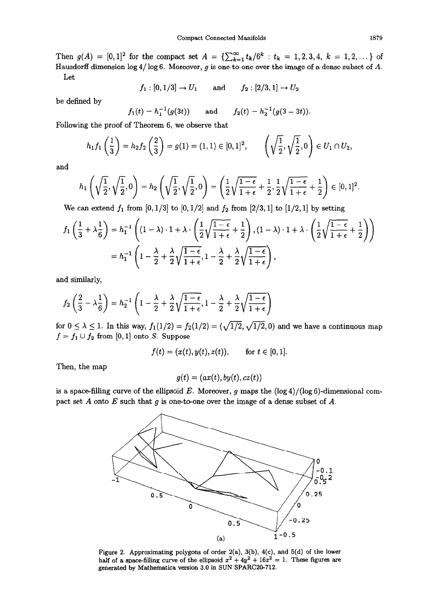Then  $g(A) = [0, 1]^2$  for the compact set  $A = \sum_{k=1}^{\infty} t_k/6^k : t_k = 1, 2, 3, 4, k = 1, 2, \ldots$  of Hausdorff dimension  $\log 4/\log 6$ . Moreover, q is one-to-one over the image of a dense subset of A. Let

$$
f_1: [0, 1/3] \to U_1
$$
 and  $f_2: [2/3, 1] \to U_2$ 

be defined by

$$
f_1(t) = h_1^{-1}(g(3t))
$$
 and  $f_2(t) = h_2^{-1}(g(3-3t)).$ 

Following the proof of Theorem 6, we observe that

$$
h_1f_1\left(\frac{1}{3}\right) = h_2f_2\left(\frac{2}{3}\right) = g(1) = (1,1) \in [0,1]^2, \qquad \left(\sqrt{\frac{1}{2}}, \sqrt{\frac{1}{2}}, 0\right) \in U_1 \cap U_2,
$$

and

$$
h_1\left(\sqrt{\frac{1}{2}},\sqrt{\frac{1}{2}},0\right)=h_2\left(\sqrt{\frac{1}{2}},\sqrt{\frac{1}{2}},0\right)=\left(\frac{1}{2}\sqrt{\frac{1-\epsilon}{1+\epsilon}}+\frac{1}{2},\frac{1}{2}\sqrt{\frac{1-\epsilon}{1+\epsilon}}+\frac{1}{2}\right)\in[0,1]^2.
$$

We can extend  $f_1$  from [0, 1/3] to [0, 1/2] and  $f_2$  from [2/3, 1] to [1/2, 1] by setting

$$
f_1\left(\frac{1}{3} + \lambda \frac{1}{6}\right) = h_1^{-1}\left((1-\lambda)\cdot 1 + \lambda\cdot \left(\frac{1}{2}\sqrt{\frac{1-\epsilon}{1+\epsilon}} + \frac{1}{2}\right), (1-\lambda)\cdot 1 + \lambda\cdot \left(\frac{1}{2}\sqrt{\frac{1-\epsilon}{1+\epsilon}} + \frac{1}{2}\right)\right)
$$

$$
= h_1^{-1}\left(1 - \frac{\lambda}{2} + \frac{\lambda}{2}\sqrt{\frac{1-\epsilon}{1+\epsilon}}, 1 - \frac{\lambda}{2} + \frac{\lambda}{2}\sqrt{\frac{1-\epsilon}{1+\epsilon}}\right),
$$

and similarly,

$$
f_2\left(\frac{2}{3}-\lambda\frac{1}{6}\right)=h_2^{-1}\left(1-\frac{\lambda}{2}+\frac{\lambda}{2}\sqrt{\frac{1-\epsilon}{1+\epsilon}},1-\frac{\lambda}{2}+\frac{\lambda}{2}\sqrt{\frac{1-\epsilon}{1+\epsilon}}\right)
$$

for  $0 \leq \lambda \leq 1$ . In this way,  $f_1(1/2) = f_2(1/2) = (\sqrt{1/2}, \sqrt{1/2}, 0)$  and we have a continuous map  $f = f_1 \cup f_2$  from [0, 1] onto S. Suppose

$$
f(t) = (x(t), y(t), z(t)), \quad \text{for } t \in [0, 1].
$$

Then, the map

$$
g(t) = (ax(t), by(t), cz(t))
$$

is a space-filling curve of the ellipsoid E. Moreover, g maps the  $(\log 4)/(\log 6)$ -dimensional compact set A onto E such that g is one-to-one over the image of a dense subset of A.



Figure 2. Approximating polygons of order 2(a), 3(b), 4(c), and 5(d) of the lower half of a space-filling curve of the ellipsoid  $x^2 + 4y^2 + 16z^2 = 1$ . These figures are generated by Mathematics version 3.0 in SUN SPARC20-712.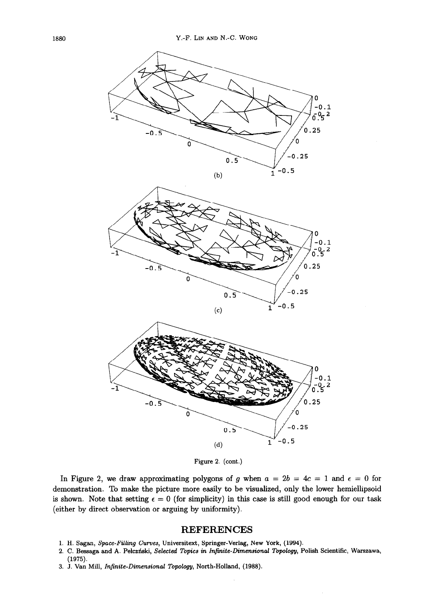

Figure 2. (cont.)

In Figure 2, we draw approximating polygons of g when  $a = 2b = 4c = 1$  and  $\epsilon = 0$  for demonstration. To make the picture more easily to be visualized, only the lower hemiellipsoid is shown. Note that setting  $\epsilon = 0$  (for simplicity) in this case is still good enough for our task (either by direct observation or arguing by uniformity).

## **REFERENCES**

- 1. H. Sagan, Space-Filling Curves, Universitext, Springer-Verlag, New York, (1994).
- 2. C. Bessaga and A. Pekzriski, Selected Topics in Infinite-Dimensional Topology, Polish Scientific, Warszawa, (1975).
- 3. J. Van Mill, Infinite-Dimensional Topology, North-Holland, (1988).